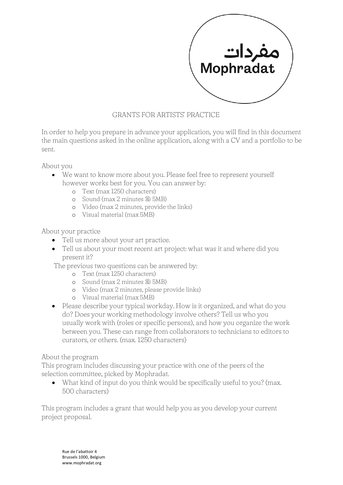

## GRANTS FOR ARTISTS' PRACTICE

In order to help you prepare in advance your application, you will find in this document the main questions asked in the online application, along with a CV and a portfolio to be sent.

About you

- We want to know more about you. Please feel free to represent yourself however works best for you. You can answer by:
	- o Text (max 1250 characters)
	- o Sound (max 2 minutes & 5MB)
	- o Video (max 2 minutes, provide the links)
	- o Visual material (max 5MB)

About your practice

- Tell us more about your art practice.
- Tell us about your most recent art project: what was it and where did you present it?

The previous two questions can be answered by:

- o Text (max 1250 characters)
- o Sound (max 2 minutes & 5MB)
- o Video (max 2 minutes, please provide links)
- o Visual material (max 5MB)
- Please describe your typical workday. How is it organized, and what do you do? Does your working methodology involve others? Tell us who you usually work with (roles or specific persons), and how you organize the work between you. These can range from collaborators to technicians to editors to curators, or others. (max. 1250 characters)

## About the program

This program includes discussing your practice with one of the peers of the selection committee, picked by Mophradat.

• What kind of input do you think would be specifically useful to you? (max. 500 characters)

This program includes a grant that would help you as you develop your current project proposal.

Rue de l'abattoir 4 Brussels 1000, Belgium www.mophradat.org